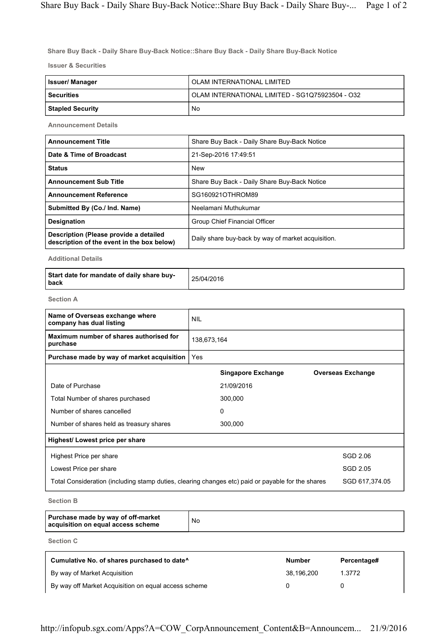Share Buy Back - Daily Share Buy-Back Notice::Share Buy Back - Daily Share Buy-Back Notice

Issuer & Securities

| Issuer/ Manager         | OLAM INTERNATIONAL LIMITED                      |  |
|-------------------------|-------------------------------------------------|--|
| <b>Securities</b>       | OLAM INTERNATIONAL LIMITED - SG1Q75923504 - O32 |  |
| <b>Stapled Security</b> | No                                              |  |

Announcement Details

| <b>Announcement Title</b>                                                            | Share Buy Back - Daily Share Buy-Back Notice       |
|--------------------------------------------------------------------------------------|----------------------------------------------------|
| Date & Time of Broadcast                                                             | 21-Sep-2016 17:49:51                               |
| <b>Status</b>                                                                        | <b>New</b>                                         |
| <b>Announcement Sub Title</b>                                                        | Share Buy Back - Daily Share Buy-Back Notice       |
| <b>Announcement Reference</b>                                                        | SG160921OTHROM89                                   |
| Submitted By (Co./ Ind. Name)                                                        | Neelamani Muthukumar                               |
| <b>Designation</b>                                                                   | Group Chief Financial Officer                      |
| Description (Please provide a detailed<br>description of the event in the box below) | Daily share buy-back by way of market acquisition. |

Additional Details

| Start date for mandate of daily share buy-<br>l back | 25/04/2016 |
|------------------------------------------------------|------------|
|------------------------------------------------------|------------|

Section A

| Name of Overseas exchange where<br>company has dual listing                                       | <b>NIL</b>  |                           |                          |
|---------------------------------------------------------------------------------------------------|-------------|---------------------------|--------------------------|
| Maximum number of shares authorised for<br>purchase                                               | 138,673,164 |                           |                          |
| Purchase made by way of market acquisition                                                        | Yes         |                           |                          |
|                                                                                                   |             | <b>Singapore Exchange</b> | <b>Overseas Exchange</b> |
| Date of Purchase                                                                                  |             | 21/09/2016                |                          |
| Total Number of shares purchased                                                                  |             | 300,000                   |                          |
| Number of shares cancelled                                                                        |             | 0                         |                          |
| Number of shares held as treasury shares                                                          |             | 300,000                   |                          |
| Highest/ Lowest price per share                                                                   |             |                           |                          |
| Highest Price per share                                                                           |             |                           | SGD 2.06                 |
| Lowest Price per share                                                                            |             |                           | SGD 2.05                 |
| Total Consideration (including stamp duties, clearing changes etc) paid or payable for the shares |             |                           | SGD 617,374.05           |

Section B

| Purchase made by way of off-market<br>acquisition on equal access scheme | No |
|--------------------------------------------------------------------------|----|
|--------------------------------------------------------------------------|----|

Section C

| Cumulative No. of shares purchased to date <sup>^</sup> | <b>Number</b> | Percentage# |
|---------------------------------------------------------|---------------|-------------|
| By way of Market Acquisition                            | 38.196.200    | 1.3772      |
| By way off Market Acquisition on equal access scheme    |               |             |